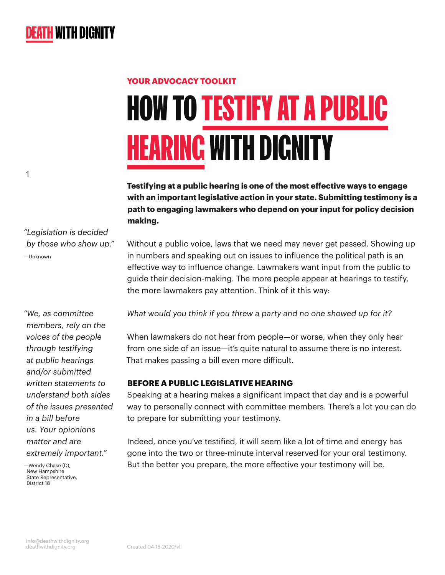# HOW TO TESTIFY AT A PUBLIC **HEARING WITH DIGNITY YOUR ADVOCACY TOOLKIT**

**Testifying at a public hearing is one of the most effective ways to engage with an important legislative action in your state. Submitting testimony is a path to engaging lawmakers who depend on your input for policy decision making.**

*"Legislation is decided by those who show up."* —Unknown

1

*"We, as committee members, rely on the voices of the people through testifying at public hearings and/or submitted written statements to understand both sides of the issues presented in a bill before us. Your opionions matter and are extremely important."* 

—Wendy Chase (D), New Hampshire State Representative. District 18

Without a public voice, laws that we need may never get passed. Showing up in numbers and speaking out on issues to influence the political path is an effective way to influence change. Lawmakers want input from the public to guide their decision-making. The more people appear at hearings to testify, the more lawmakers pay attention. Think of it this way:

*What would you think if you threw a party and no one showed up for it?*

When lawmakers do not hear from people—or worse, when they only hear from one side of an issue—it's quite natural to assume there is no interest. That makes passing a bill even more difficult.

### **BEFORE A PUBLIC LEGISLATIVE HEARING**

Speaking at a hearing makes a significant impact that day and is a powerful way to personally connect with committee members. There's a lot you can do to prepare for submitting your testimony.

Indeed, once you've testified, it will seem like a lot of time and energy has gone into the two or three-minute interval reserved for your oral testimony. But the better you prepare, the more effective your testimony will be.

[info@deathwithdignity.org](mailto:info%40deathwithdignity.org?subject=) [deathwithdignity.org](https://deathwithdignity.org/) Created 04-15-2020/vll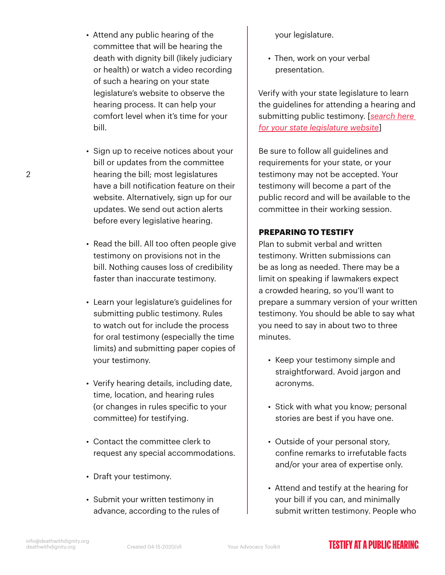- Attend any public hearing of the committee that will be hearing the death with dignity bill (likely judiciary or health) or watch a video recording of such a hearing on your state legislature's website to observe the hearing process. It can help your comfort level when it's time for your bill.
- Sign up to receive notices about your bill or updates from the committee hearing the bill; most legislatures have a bill notification feature on their website. Alternatively, sign up for our updates. We send out action alerts before every legislative hearing.
- Read the bill. All too often people give testimony on provisions not in the bill. Nothing causes loss of credibility faster than inaccurate testimony.
- Learn your legislature's guidelines for submitting public testimony. Rules to watch out for include the process for oral testimony (especially the time limits) and submitting paper copies of your testimony.
- Verify hearing details, including date, time, location, and hearing rules (or changes in rules specific to your committee) for testifying.
- Contact the committee clerk to request any special accommodations.
- Draft your testimony.
- Submit your written testimony in advance, according to the rules of

your legislature.

• Then, work on your verbal presentation.

Verify with your state legislature to learn the guidelines for attending a hearing and submitting public testimony. [*[search here](https://www.congress.gov/state-legislature-websites)  [for your state legislature website](https://www.congress.gov/state-legislature-websites)*]

Be sure to follow all guidelines and requirements for your state, or your testimony may not be accepted. Your testimony will become a part of the public record and will be available to the committee in their working session.

#### **PREPARING TO TESTIFY**

Plan to submit verbal and written testimony. Written submissions can be as long as needed. There may be a limit on speaking if lawmakers expect a crowded hearing, so you'll want to prepare a summary version of your written testimony. You should be able to say what you need to say in about two to three minutes.

- Keep your testimony simple and straightforward. Avoid jargon and acronyms.
- Stick with what you know; personal stories are best if you have one.
- Outside of your personal story, confine remarks to irrefutable facts and/or your area of expertise only.
- Attend and testify at the hearing for your bill if you can, and minimally submit written testimony. People who

2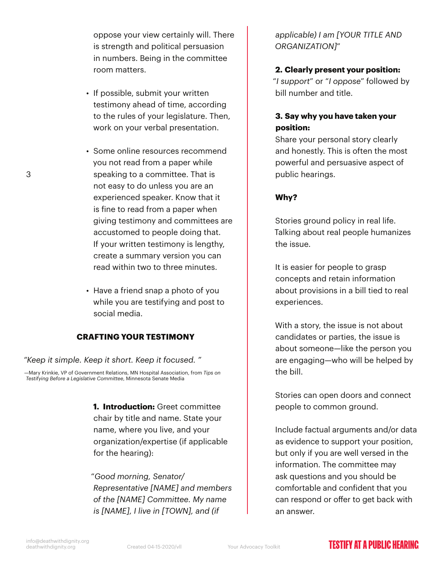oppose your view certainly will. There is strength and political persuasion in numbers. Being in the committee room matters.

- If possible, submit your written testimony ahead of time, according to the rules of your legislature. Then, work on your verbal presentation.
- Some online resources recommend you not read from a paper while speaking to a committee. That is not easy to do unless you are an experienced speaker. Know that it is fine to read from a paper when giving testimony and committees are accustomed to people doing that. If your written testimony is lengthy, create a summary version you can read within two to three minutes.
- Have a friend snap a photo of you while you are testifying and post to social media.

#### **CRAFTING YOUR TESTIMONY**

*"Keep it simple. Keep it short. Keep it focused. "*

—Mary Krinkie, VP of Government Relations, MN Hospital Association, from *Tips on Testifying Before a Legislative Committee*, Minnesota Senate Media

> **1. Introduction:** Greet committee chair by title and name. State your name, where you live, and your organization/expertise (if applicable for the hearing):

"*Good morning, Senator/ Representative [NAME] and members of the [NAME] Committee. My name is [NAME], I live in [TOWN], and (if* 

*applicable) I am [YOUR TITLE AND ORGANIZATION]*"

#### **2. Clearly present your position:**

"*I support*" or "*I oppose*" followed by bill number and title.

#### **3. Say why you have taken your position:**

Share your personal story clearly and honestly. This is often the most powerful and persuasive aspect of public hearings.

#### **Why?**

Stories ground policy in real life. Talking about real people humanizes the issue.

It is easier for people to grasp concepts and retain information about provisions in a bill tied to real experiences.

With a story, the issue is not about candidates or parties, the issue is about someone—like the person you are engaging—who will be helped by the bill.

Stories can open doors and connect people to common ground.

Include factual arguments and/or data as evidence to support your position, but only if you are well versed in the information. The committee may ask questions and you should be comfortable and confident that you can respond or offer to get back with an answer.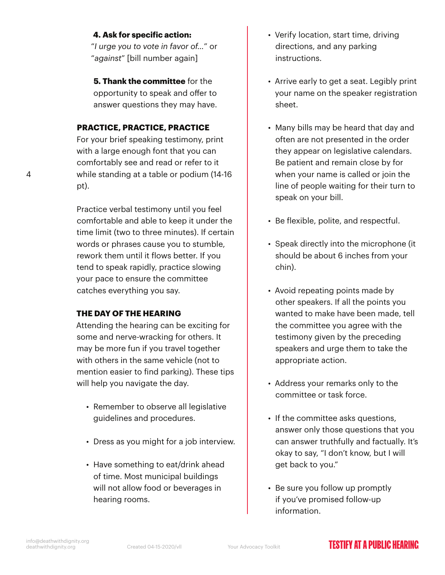#### **4. Ask for specific action:**

"*I urge you to vote in favor of…*" or "*against*" [bill number again]

**5. Thank the committee** for the opportunity to speak and offer to answer questions they may have.

#### **PRACTICE, PRACTICE, PRACTICE**

For your brief speaking testimony, print with a large enough font that you can comfortably see and read or refer to it while standing at a table or podium (14-16 pt).

Practice verbal testimony until you feel comfortable and able to keep it under the time limit (two to three minutes). If certain words or phrases cause you to stumble, rework them until it flows better. If you tend to speak rapidly, practice slowing your pace to ensure the committee catches everything you say.

#### **THE DAY OF THE HEARING**

Attending the hearing can be exciting for some and nerve-wracking for others. It may be more fun if you travel together with others in the same vehicle (not to mention easier to find parking). These tips will help you navigate the day.

- Remember to observe all legislative guidelines and procedures.
- Dress as you might for a job interview.
- Have something to eat/drink ahead of time. Most municipal buildings will not allow food or beverages in hearing rooms.
- Verify location, start time, driving directions, and any parking instructions.
- Arrive early to get a seat. Legibly print your name on the speaker registration sheet.
- Many bills may be heard that day and often are not presented in the order they appear on legislative calendars. Be patient and remain close by for when your name is called or join the line of people waiting for their turn to speak on your bill.
- Be flexible, polite, and respectful.
- Speak directly into the microphone (it should be about 6 inches from your chin).
- Avoid repeating points made by other speakers. If all the points you wanted to make have been made, tell the committee you agree with the testimony given by the preceding speakers and urge them to take the appropriate action.
- Address your remarks only to the committee or task force.
- If the committee asks questions, answer only those questions that you can answer truthfully and factually. It's okay to say, "I don't know, but I will get back to you."
- Be sure you follow up promptly if you've promised follow-up information.

4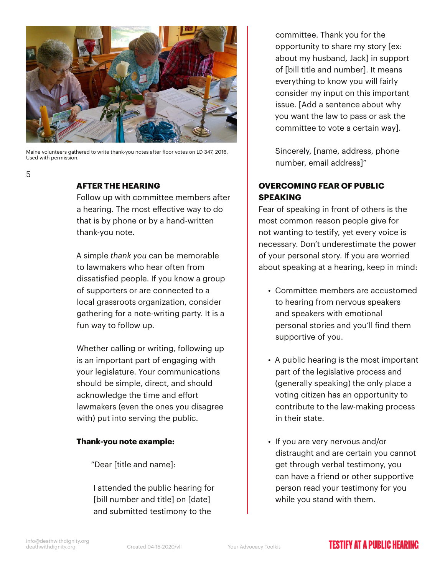

Maine volunteers gathered to write thank-you notes after floor votes on LD 347, 2016. Used with permission.

#### **AFTER THE HEARING**

5

Follow up with committee members after a hearing. The most effective way to do that is by phone or by a hand-written thank-you note.

A simple *thank you* can be memorable to lawmakers who hear often from dissatisfied people. If you know a group of supporters or are connected to a local grassroots organization, consider gathering for a note-writing party. It is a fun way to follow up.

Whether calling or writing, following up is an important part of engaging with your legislature. Your communications should be simple, direct, and should acknowledge the time and effort lawmakers (even the ones you disagree with) put into serving the public.

#### **Thank-you note example:**

"Dear [title and name]:

I attended the public hearing for [bill number and title] on [date] and submitted testimony to the

committee. Thank you for the opportunity to share my story [ex: about my husband, Jack] in support of [bill title and number]. It means everything to know you will fairly consider my input on this important issue. [Add a sentence about why you want the law to pass or ask the committee to vote a certain way].

Sincerely, [name, address, phone number, email address]"

#### **OVERCOMING FEAR OF PUBLIC SPEAKING**

Fear of speaking in front of others is the most common reason people give for not wanting to testify, yet every voice is necessary. Don't underestimate the power of your personal story. If you are worried about speaking at a hearing, keep in mind:

- Committee members are accustomed to hearing from nervous speakers and speakers with emotional personal stories and you'll find them supportive of you.
- A public hearing is the most important part of the legislative process and (generally speaking) the only place a voting citizen has an opportunity to contribute to the law-making process in their state.
- If you are very nervous and/or distraught and are certain you cannot get through verbal testimony, you can have a friend or other supportive person read your testimony for you while you stand with them.